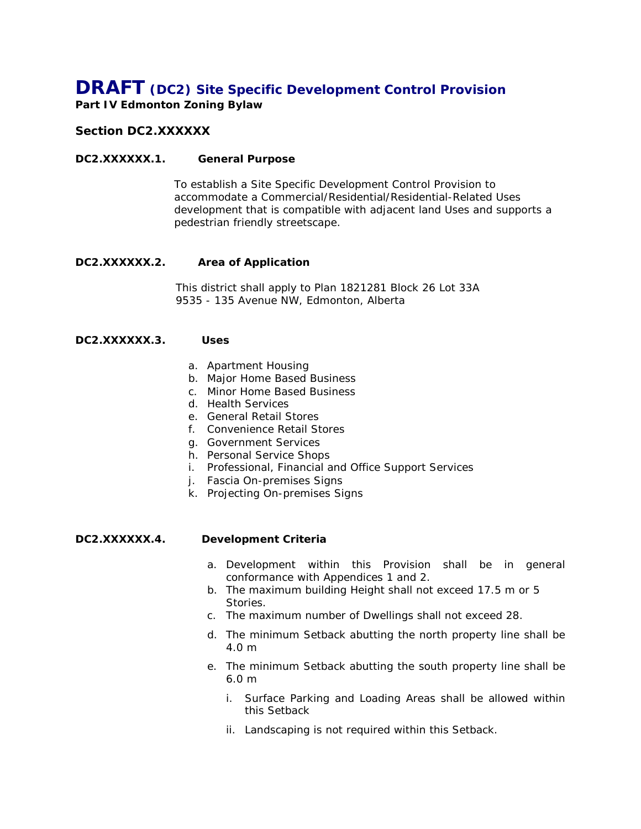# *DRAFT* **(DC2) Site Specific Development Control Provision**

**Part IV Edmonton Zoning Bylaw**

# *Section DC2.XXXXXX*

## **DC2.XXXXXX.1. General Purpose**

To establish a Site Specific Development Control Provision to accommodate a Commercial/Residential/Residential-Related Uses development that is compatible with adjacent land Uses and supports a pedestrian friendly streetscape.

## **DC2.XXXXXX.2. Area of Application**

This district shall apply to Plan 1821281 Block 26 Lot 33A 9535 - 135 Avenue NW, Edmonton, Alberta

## **DC2.XXXXXX.3. Uses**

- a. Apartment Housing
- b. Major Home Based Business
- c. Minor Home Based Business
- d. Health Services
- e. General Retail Stores
- f. Convenience Retail Stores
- g. Government Services
- h. Personal Service Shops
- i. Professional, Financial and Office Support Services
- j. Fascia On-premises Signs
- k. Projecting On-premises Signs

#### **DC2.XXXXXX.4. Development Criteria**

- a. Development within this Provision shall be in general conformance with Appendices 1 and 2.
- b. The maximum building Height shall not exceed 17.5 m or 5 Stories.
- c. The maximum number of Dwellings shall not exceed 28.
- d. The minimum Setback abutting the north property line shall be 4.0 m
- e. The minimum Setback abutting the south property line shall be 6.0 m
	- i. Surface Parking and Loading Areas shall be allowed within this Setback
	- ii. Landscaping is not required within this Setback.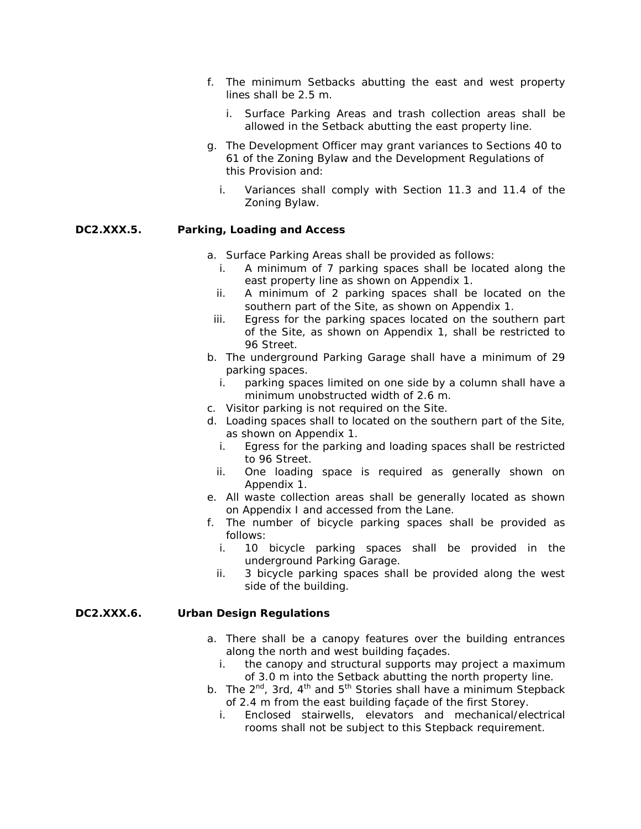- f. The minimum Setbacks abutting the east and west property lines shall be 2.5 m.
	- i. Surface Parking Areas and trash collection areas shall be allowed in the Setback abutting the east property line.
- g. The Development Officer may grant variances to Sections 40 to 61 of the Zoning Bylaw and the Development Regulations of this Provision and:
	- i. Variances shall comply with Section 11.3 and 11.4 of the Zoning Bylaw.

# **DC2.XXX.5. Parking, Loading and Access**

- a. Surface Parking Areas shall be provided as follows:
	- i. A minimum of 7 parking spaces shall be located along the east property line as shown on Appendix 1.
	- ii. A minimum of 2 parking spaces shall be located on the southern part of the Site, as shown on Appendix 1.
	- iii. Egress for the parking spaces located on the southern part of the Site, as shown on Appendix 1, shall be restricted to 96 Street.
- b. The underground Parking Garage shall have a minimum of 29 parking spaces.
	- i. parking spaces limited on one side by a column shall have a minimum unobstructed width of 2.6 m.
- c. Visitor parking is not required on the Site.
- d. Loading spaces shall to located on the southern part of the Site, as shown on Appendix 1.
	- i. Egress for the parking and loading spaces shall be restricted to 96 Street.
	- ii. One loading space is required as generally shown on Appendix 1.
- e. All waste collection areas shall be generally located as shown on Appendix I and accessed from the Lane.
- f. The number of bicycle parking spaces shall be provided as follows:
	- i. 10 bicycle parking spaces shall be provided in the underground Parking Garage.
	- ii. 3 bicycle parking spaces shall be provided along the west side of the building.

#### **DC2.XXX.6. Urban Design Regulations**

- a. There shall be a canopy features over the building entrances along the north and west building façades.
	- i. the canopy and structural supports may project a maximum of 3.0 m into the Setback abutting the north property line.
- b. The  $2^{nd}$ , 3rd,  $4^{th}$  and  $5^{th}$  Stories shall have a minimum Stepback of 2.4 m from the east building façade of the first Storey.
	- i. Enclosed stairwells, elevators and mechanical/electrical rooms shall not be subject to this Stepback requirement.